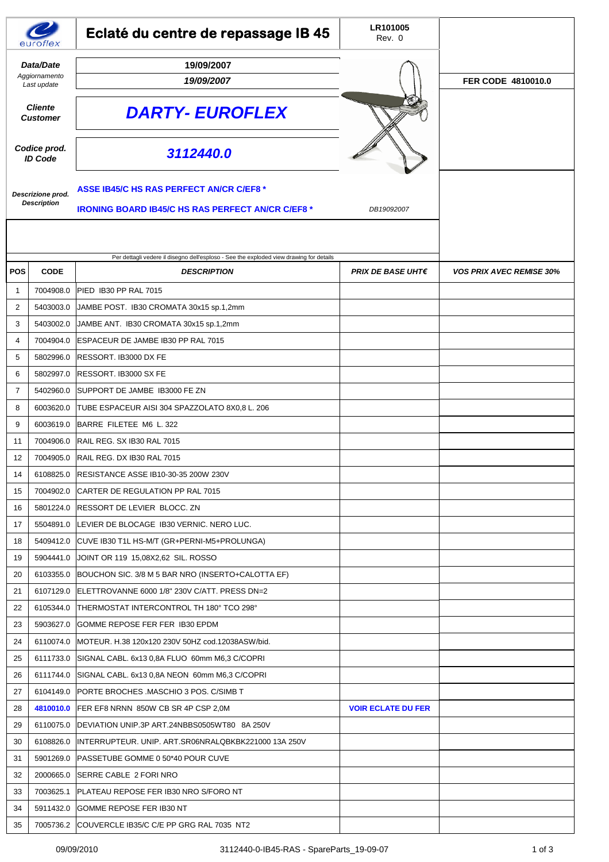|                                           | eurotlex    | Eclaté du centre de repassage IB 45                                                                         | LR101005<br>Rev. 0        |                                 |
|-------------------------------------------|-------------|-------------------------------------------------------------------------------------------------------------|---------------------------|---------------------------------|
| Data/Date<br>Aggiornamento<br>Last update |             | 19/09/2007<br>19/09/2007                                                                                    |                           | FER CODE 4810010.0              |
| <b>Cliente</b><br><b>Customer</b>         |             | <b>DARTY- EUROFLEX</b>                                                                                      |                           |                                 |
| Codice prod.<br><b>ID Code</b>            |             | 3112440.0                                                                                                   |                           |                                 |
| Descrizione prod.<br><b>Description</b>   |             | <b>ASSE IB45/C HS RAS PERFECT AN/CR C/EF8 *</b><br><b>IRONING BOARD IB45/C HS RAS PERFECT AN/CR C/EF8 *</b> | DB19092007                |                                 |
|                                           |             | Per dettagli vedere il disegno dell'esploso - See the exploded view drawing for details                     |                           |                                 |
| POS                                       | <b>CODE</b> | <b>DESCRIPTION</b>                                                                                          | <b>PRIX DE BASE UHT€</b>  | <b>VOS PRIX AVEC REMISE 30%</b> |
| $\mathbf 1$                               | 7004908.0   | PIED IB30 PP RAL 7015                                                                                       |                           |                                 |
| 2                                         | 5403003.0   | JAMBE POST. IB30 CROMATA 30x15 sp.1,2mm                                                                     |                           |                                 |
| 3                                         | 5403002.0   | JAMBE ANT. IB30 CROMATA 30x15 sp.1,2mm                                                                      |                           |                                 |
| 4                                         | 7004904.0   | ESPACEUR DE JAMBE IB30 PP RAL 7015                                                                          |                           |                                 |
| 5                                         | 5802996.0   | RESSORT. IB3000 DX FE                                                                                       |                           |                                 |
| 6                                         | 5802997.0   | RESSORT. IB3000 SX FE                                                                                       |                           |                                 |
| 7                                         | 5402960.0   | SUPPORT DE JAMBE IB3000 FE ZN                                                                               |                           |                                 |
| 8                                         | 6003620.0   | TUBE ESPACEUR AISI 304 SPAZZOLATO 8X0,8 L. 206                                                              |                           |                                 |
| 9                                         | 6003619.0   | BARRE FILETEE M6 L. 322                                                                                     |                           |                                 |
| 11                                        | 7004906.0   | RAIL REG. SX IB30 RAL 7015                                                                                  |                           |                                 |
| 12                                        | 7004905.0   | RAIL REG. DX IB30 RAL 7015                                                                                  |                           |                                 |
| 14                                        | 6108825.0   | RESISTANCE ASSE IB10-30-35 200W 230V                                                                        |                           |                                 |
| 15                                        | 7004902.0   | CARTER DE REGULATION PP RAL 7015                                                                            |                           |                                 |
| 16                                        |             | 5801224.0 RESSORT DE LEVIER BLOCC. ZN                                                                       |                           |                                 |
| 17                                        | 5504891.0   | LEVIER DE BLOCAGE IB30 VERNIC. NERO LUC.                                                                    |                           |                                 |
| 18                                        | 5409412.0   | CUVE IB30 T1L HS-M/T (GR+PERNI-M5+PROLUNGA)                                                                 |                           |                                 |
| 19                                        | 5904441.0   | JOINT OR 119 15,08X2,62 SIL. ROSSO                                                                          |                           |                                 |
| 20                                        | 6103355.0   | BOUCHON SIC. 3/8 M 5 BAR NRO (INSERTO+CALOTTA EF)                                                           |                           |                                 |
| 21                                        | 6107129.0   | ELETTROVANNE 6000 1/8" 230V C/ATT. PRESS DN=2                                                               |                           |                                 |
| 22                                        | 6105344.0   | THERMOSTAT INTERCONTROL TH 180° TCO 298°                                                                    |                           |                                 |
| 23                                        | 5903627.0   | GOMME REPOSE FER FER IB30 EPDM                                                                              |                           |                                 |
| 24                                        | 6110074.0   | MOTEUR. H.38 120x120 230V 50HZ cod.12038ASW/bid.                                                            |                           |                                 |
| 25                                        | 6111733.0   | SIGNAL CABL. 6x13 0,8A FLUO 60mm M6,3 C/COPRI                                                               |                           |                                 |
| 26                                        | 6111744.0   | SIGNAL CABL. 6x13 0,8A NEON 60mm M6,3 C/COPRI                                                               |                           |                                 |
| 27                                        | 6104149.0   | <b>PORTE BROCHES MASCHIO 3 POS. C/SIMB T</b>                                                                |                           |                                 |
| 28                                        | 4810010.0   | FER EF8 NRNN 850W CB SR 4P CSP 2,0M                                                                         | <b>VOIR ECLATE DU FER</b> |                                 |
| 29                                        | 6110075.0   | DEVIATION UNIP.3P ART.24NBBS0505WT80 8A 250V                                                                |                           |                                 |
| 30                                        | 6108826.0   | INTERRUPTEUR. UNIP. ART.SR06NRALQBKBK221000 13A 250V                                                        |                           |                                 |
| 31                                        | 5901269.0   | PASSETUBE GOMME 0 50*40 POUR CUVE                                                                           |                           |                                 |
| 32                                        | 2000665.0   | SERRE CABLE 2 FORI NRO                                                                                      |                           |                                 |
| 33                                        | 7003625.1   | PLATEAU REPOSE FER IB30 NRO S/FORO NT                                                                       |                           |                                 |
| 34                                        | 5911432.0   | GOMME REPOSE FER IB30 NT                                                                                    |                           |                                 |
| 35                                        |             | 7005736.2 COUVERCLE IB35/C C/E PP GRG RAL 7035 NT2                                                          |                           |                                 |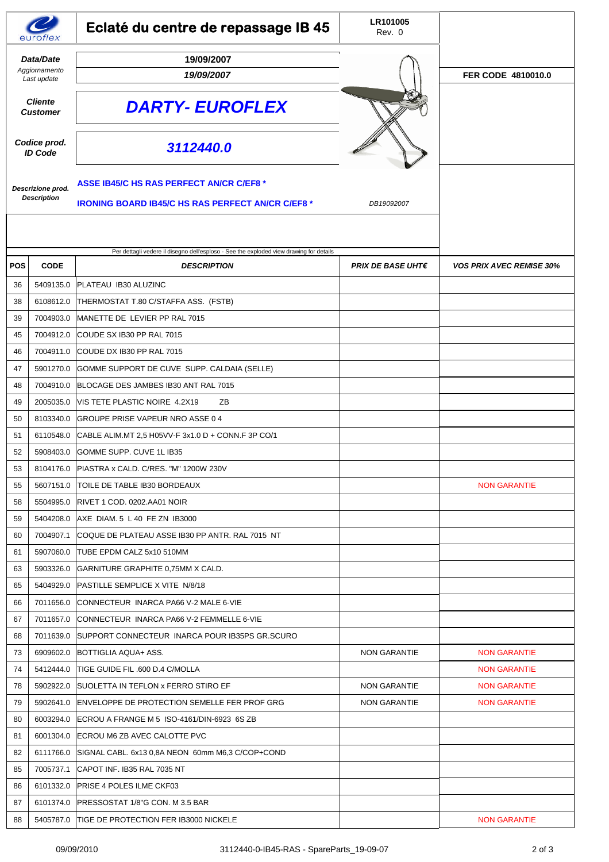|                                           | eurotlex    | Eclaté du centre de repassage IB 45                                                                                       | LR101005<br>Rev. 0       |                                 |
|-------------------------------------------|-------------|---------------------------------------------------------------------------------------------------------------------------|--------------------------|---------------------------------|
| Data/Date<br>Aggiornamento<br>Last update |             | 19/09/2007<br>19/09/2007                                                                                                  |                          | FER CODE 4810010.0              |
| <b>Cliente</b><br><b>Customer</b>         |             | <b>DARTY- EUROFLEX</b>                                                                                                    |                          |                                 |
| Codice prod.<br><b>ID Code</b>            |             | 3112440.0                                                                                                                 |                          |                                 |
| Descrizione prod.<br><b>Description</b>   |             | <b>ASSE IB45/C HS RAS PERFECT AN/CR C/EF8 *</b><br><b>IRONING BOARD IB45/C HS RAS PERFECT AN/CR C/EF8 *</b><br>DB19092007 |                          |                                 |
|                                           |             | Per dettagli vedere il disegno dell'esploso - See the exploded view drawing for details                                   |                          |                                 |
| <b>POS</b>                                | <b>CODE</b> | <b>DESCRIPTION</b>                                                                                                        | <b>PRIX DE BASE UHT€</b> | <b>VOS PRIX AVEC REMISE 30%</b> |
| 36                                        | 5409135.0   | PLATEAU IB30 ALUZINC                                                                                                      |                          |                                 |
| 38                                        | 6108612.0   | THERMOSTAT T.80 C/STAFFA ASS. (FSTB)                                                                                      |                          |                                 |
| 39                                        | 7004903.0   | MANETTE DE LEVIER PP RAL 7015                                                                                             |                          |                                 |
| 45                                        | 7004912.0   | COUDE SX IB30 PP RAL 7015                                                                                                 |                          |                                 |
| 46                                        | 7004911.0   | COUDE DX IB30 PP RAL 7015                                                                                                 |                          |                                 |
| 47                                        | 5901270.0   | GOMME SUPPORT DE CUVE SUPP. CALDAIA (SELLE)                                                                               |                          |                                 |
| 48                                        | 7004910.0   | BLOCAGE DES JAMBES IB30 ANT RAL 7015                                                                                      |                          |                                 |
| 49                                        | 2005035.0   | VIS TETE PLASTIC NOIRE 4.2X19<br>ZΒ                                                                                       |                          |                                 |
| 50                                        | 8103340.0   | GROUPE PRISE VAPEUR NRO ASSE 0 4                                                                                          |                          |                                 |
| 51                                        | 6110548.0   | CABLE ALIM.MT 2,5 H05VV-F 3x1.0 D + CONN.F 3P CO/1                                                                        |                          |                                 |
| 52                                        | 5908403.0   | <b>GOMME SUPP, CUVE 1L IB35</b>                                                                                           |                          |                                 |
| 53                                        |             | 8104176.0 PIASTRA x CALD. C/RES. "M" 1200W 230V                                                                           |                          |                                 |
| 55                                        |             | 5607151.0   TOILE DE TABLE IB30 BORDEAUX                                                                                  |                          | <b>NON GARANTIE</b>             |
| 58                                        |             | 5504995.0   RIVET 1 COD. 0202.AA01 NOIR                                                                                   |                          |                                 |
| 59                                        | 5404208.0   | AXE DIAM 5 L 40 FE ZN IB3000                                                                                              |                          |                                 |
| 60                                        | 7004907.1   | COQUE DE PLATEAU ASSE IB30 PP ANTR. RAL 7015 NT                                                                           |                          |                                 |
| 61                                        | 5907060.0   | TUBE EPDM CALZ 5x10 510MM                                                                                                 |                          |                                 |
| 63                                        | 5903326.0   | GARNITURE GRAPHITE 0,75MM X CALD.                                                                                         |                          |                                 |
| 65                                        | 5404929.0   | <b>PASTILLE SEMPLICE X VITE N/8/18</b>                                                                                    |                          |                                 |
| 66                                        | 7011656.0   | CONNECTEUR INARCA PA66 V-2 MALE 6-VIE                                                                                     |                          |                                 |
| 67                                        | 7011657.0   | CONNECTEUR INARCA PA66 V-2 FEMMELLE 6-VIE                                                                                 |                          |                                 |
| 68                                        |             | 7011639.0 SUPPORT CONNECTEUR INARCA POUR IB35PS GR.SCURO                                                                  |                          |                                 |
| 73                                        | 6909602.0   | BOTTIGLIA AQUA+ ASS.                                                                                                      | NON GARANTIE             | <b>NON GARANTIE</b>             |
| 74                                        |             | 5412444.0 TIGE GUIDE FIL .600 D.4 C/MOLLA                                                                                 |                          | <b>NON GARANTIE</b>             |
| 78                                        |             | 5902922.0 SUOLETTA IN TEFLON x FERRO STIRO EF                                                                             | <b>NON GARANTIE</b>      | <b>NON GARANTIE</b>             |
| 79                                        | 5902641.0   | <b>ENVELOPPE DE PROTECTION SEMELLE FER PROF GRG</b>                                                                       | <b>NON GARANTIE</b>      | <b>NON GARANTIE</b>             |
| 80                                        |             | 6003294.0 ECROU A FRANGE M 5 ISO-4161/DIN-6923 6S ZB                                                                      |                          |                                 |
| 81                                        | 6001304.0   | ECROU M6 ZB AVEC CALOTTE PVC                                                                                              |                          |                                 |
| 82                                        | 6111766.0   | SIGNAL CABL. 6x13 0,8A NEON 60mm M6,3 C/COP+COND                                                                          |                          |                                 |
| 85                                        | 7005737.1   | CAPOT INF. IB35 RAL 7035 NT                                                                                               |                          |                                 |
| 86                                        | 6101332.0   | <b>PRISE 4 POLES ILME CKF03</b>                                                                                           |                          |                                 |
| 87                                        | 6101374.0   | <b>PRESSOSTAT 1/8"G CON. M 3.5 BAR</b>                                                                                    |                          |                                 |
| 88                                        | 5405787.0   | TIGE DE PROTECTION FER IB3000 NICKELE                                                                                     |                          | <b>NON GARANTIE</b>             |